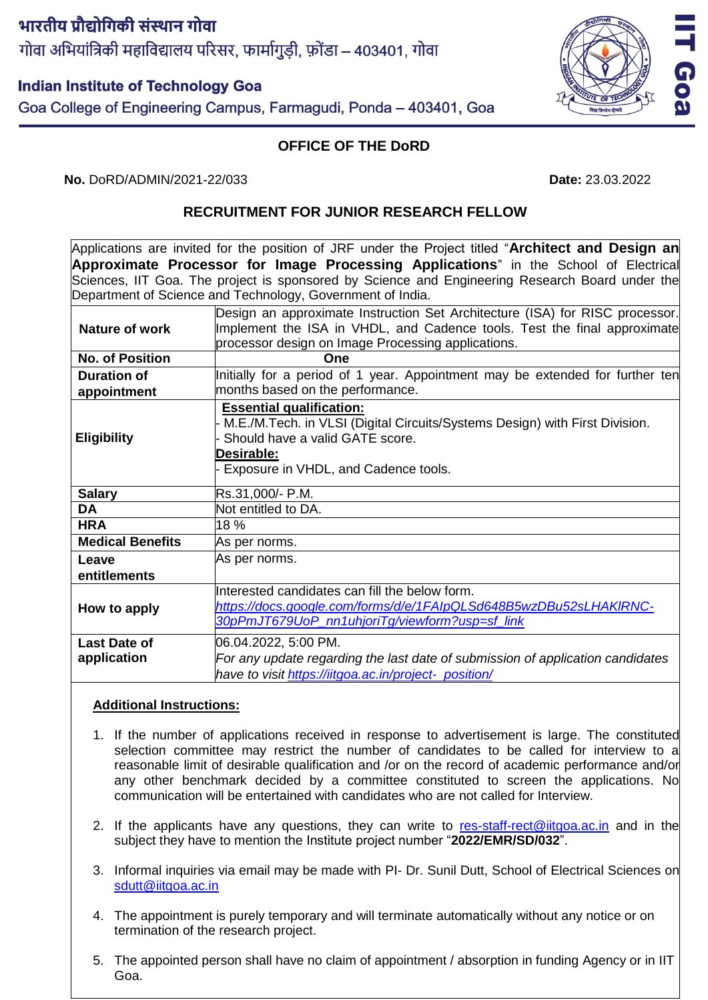# भारतीय प्रौद्योगिकी संस्थान गोवा गोवा अभियांत्रिकी महाविद्यालय परिसर, फार्मागुडी, फ़ोंडा – 403401, गोवा

## **Indian Institute of Technology Goa**

Goa College of Engineering Campus, Farmagudi, Ponda - 403401, Goa

### **OFFICE OF THE DoRD**

**No.** DoRD/ADMIN/2021-22/033 **Date:** 23.03.2022

#### **RECRUITMENT FOR JUNIOR RESEARCH FELLOW**

Applications are invited for the position of JRF under the Project titled "**Architect and Design an Approximate Processor for Image Processing Applications**" in the School of Electrical Sciences, IIT Goa. The project is sponsored by Science and Engineering Research Board under the Department of Science and Technology, Government of India.

| Nature of work          | Design an approximate Instruction Set Architecture (ISA) for RISC processor.<br>Implement the ISA in VHDL, and Cadence tools. Test the final approximate              |
|-------------------------|-----------------------------------------------------------------------------------------------------------------------------------------------------------------------|
|                         | processor design on Image Processing applications.                                                                                                                    |
| <b>No. of Position</b>  | One                                                                                                                                                                   |
| Duration of             | Initially for a period of 1 year. Appointment may be extended for further ten                                                                                         |
| appointment             | months based on the performance.                                                                                                                                      |
| <b>Eligibility</b>      | <b>Essential qualification:</b><br>M.E./M.Tech. in VLSI (Digital Circuits/Systems Design) with First Division.<br>Should have a valid GATE score.<br>Desirable:       |
|                         | Exposure in VHDL, and Cadence tools.                                                                                                                                  |
| <b>Salary</b>           | Rs.31,000/- P.M.                                                                                                                                                      |
| <b>DA</b>               | Not entitled to DA.                                                                                                                                                   |
| <b>HRA</b>              | 18 %                                                                                                                                                                  |
| <b>Medical Benefits</b> | As per norms.                                                                                                                                                         |
| Leave                   | As per norms.                                                                                                                                                         |
| entitlements            |                                                                                                                                                                       |
| How to apply            | Interested candidates can fill the below form.<br>https://docs.google.com/forms/d/e/1FAIpQLSd648B5wzDBu52sLHAKIRNC-<br>30pPmJT679UoP_nn1uhjoriTg/viewform?usp=sf_link |
| <b>Last Date of</b>     | 06.04.2022, 5:00 PM.                                                                                                                                                  |
| application             | For any update regarding the last date of submission of application candidates<br>have to visit https://iitgoa.ac.in/project- position/                               |
|                         |                                                                                                                                                                       |

#### **Additional Instructions:**

- 1. If the number of applications received in response to advertisement is large. The constituted selection committee may restrict the number of candidates to be called for interview to a reasonable limit of desirable qualification and /or on the record of academic performance and/or any other benchmark decided by a committee constituted to screen the applications. No communication will be entertained with candidates who are not called for Interview.
- 2. If the applicants have any questions, they can write to [res-staff-rect@iitgoa.ac.in](mailto:res-staff-rect@iitgoa.ac.in) and in the subject they have to mention the Institute project number "**2022/EMR/SD/032**".
- 3. Informal inquiries via email may be made with PI- Dr. Sunil Dutt, School of Electrical Sciences on [sdutt@iitgoa.ac.in](mailto:sdutt@iitgoa.ac.in)
- 4. The appointment is purely temporary and will terminate automatically without any notice or on termination of the research project.
- 5. The appointed person shall have no claim of appointment / absorption in funding Agency or in IIT Goa.



G<br>0